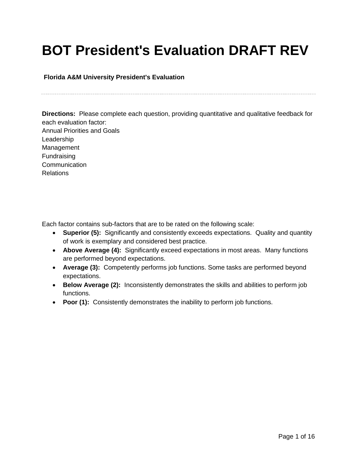# **BOT President's Evaluation DRAFT REV**

**Florida A&M University President's Evaluation**

**Directions:** Please complete each question, providing quantitative and qualitative feedback for each evaluation factor: Annual Priorities and Goals Leadership Management Fundraising **Communication** Relations

Each factor contains sub-factors that are to be rated on the following scale:

- **Superior (5):** Significantly and consistently exceeds expectations. Quality and quantity of work is exemplary and considered best practice.
- **Above Average (4):** Significantly exceed expectations in most areas. Many functions are performed beyond expectations.
- **Average (3):** Competently performs job functions. Some tasks are performed beyond expectations.
- **Below Average (2):** Inconsistently demonstrates the skills and abilities to perform job functions.
- **Poor (1):** Consistently demonstrates the inability to perform job functions.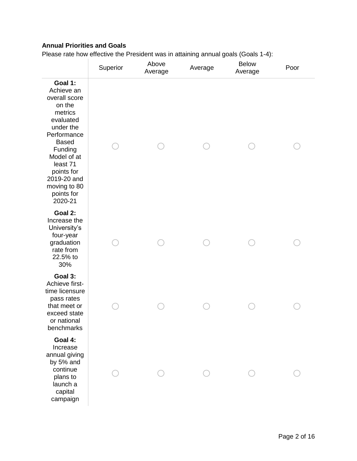## **Annual Priorities and Goals**

Please rate how effective the President was in attaining annual goals (Goals 1-4):

|                                                                                                                                                                                                                                  | Superior | Above<br>Average | Average | <b>Below</b><br>Average | Poor |
|----------------------------------------------------------------------------------------------------------------------------------------------------------------------------------------------------------------------------------|----------|------------------|---------|-------------------------|------|
| Goal 1:<br>Achieve an<br>overall score<br>on the<br>metrics<br>evaluated<br>under the<br>Performance<br><b>Based</b><br>Funding<br>Model of at<br>least 71<br>points for<br>2019-20 and<br>moving to 80<br>points for<br>2020-21 |          |                  |         |                         |      |
| Goal 2:<br>Increase the<br>University's<br>four-year<br>graduation<br>rate from<br>22.5% to<br>30%                                                                                                                               |          |                  |         |                         |      |
| Goal 3:<br>Achieve first-<br>time licensure<br>pass rates<br>that meet or<br>exceed state<br>or national<br>benchmarks                                                                                                           |          |                  |         |                         |      |
| Goal 4:<br>Increase<br>annual giving<br>by 5% and<br>continue<br>plans to<br>launch a<br>capital<br>campaign                                                                                                                     |          |                  |         |                         |      |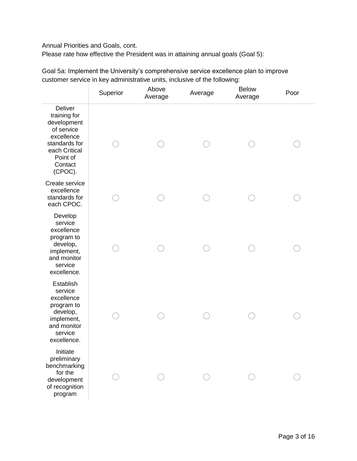#### Annual Priorities and Goals, cont.

Please rate how effective the President was in attaining annual goals (Goal 5):

Goal 5a: Implement the University's comprehensive service excellence plan to improve customer service in key administrative units, inclusive of the following:

|                                                                                                                                               | Superior | Above<br>Average | Average | <b>Below</b><br>Average | Poor |
|-----------------------------------------------------------------------------------------------------------------------------------------------|----------|------------------|---------|-------------------------|------|
| <b>Deliver</b><br>training for<br>development<br>of service<br>excellence<br>standards for<br>each Critical<br>Point of<br>Contact<br>(CPOC). |          |                  |         |                         |      |
| Create service<br>excellence<br>standards for<br>each CPOC.                                                                                   |          |                  |         |                         |      |
| Develop<br>service<br>excellence<br>program to<br>develop,<br>implement,<br>and monitor<br>service<br>excellence.                             |          |                  |         |                         |      |
| Establish<br>service<br>excellence<br>program to<br>develop,<br>implement,<br>and monitor<br>service<br>excellence.                           |          |                  |         |                         |      |
| Initiate<br>preliminary<br>benchmarking<br>for the<br>development<br>of recognition<br>program                                                |          |                  |         |                         |      |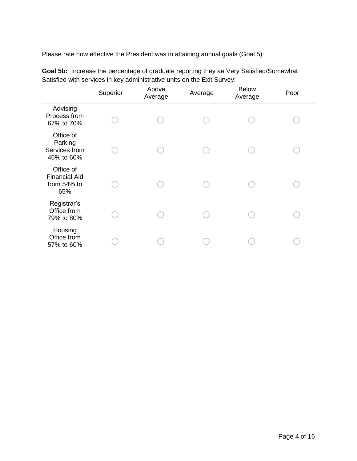Please rate how effective the President was in attaining annual goals (Goal 5):

|                                                         | Superior | Above<br>Average | Average | <b>Below</b><br>Average | Poor |
|---------------------------------------------------------|----------|------------------|---------|-------------------------|------|
| Advising<br>Process from<br>67% to 70%                  |          |                  |         |                         |      |
| Office of<br>Parking<br>Services from<br>46% to 60%     |          |                  |         |                         |      |
| Office of<br><b>Financial Aid</b><br>from 54% to<br>65% |          |                  |         |                         |      |
| Registrar's<br>Office from<br>79% to 80%                |          |                  |         |                         |      |
| Housing<br>Office from<br>57% to 60%                    |          |                  |         |                         |      |

**Goal 5b:** Increase the percentage of graduate reporting they ae Very Satisfied/Somewhat Satisfied with services in key administrative units on the Exit Survey: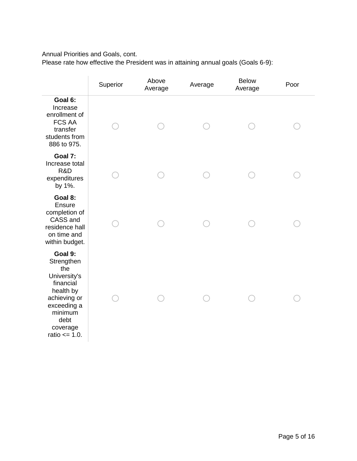Annual Priorities and Goals, cont.

Please rate how effective the President was in attaining annual goals (Goals 6-9):

|                                                                                                                                                           | Superior | Above<br>Average | Average | <b>Below</b><br>Average | Poor |
|-----------------------------------------------------------------------------------------------------------------------------------------------------------|----------|------------------|---------|-------------------------|------|
| Goal 6:<br>Increase<br>enrollment of<br><b>FCS AA</b><br>transfer<br>students from<br>886 to 975.                                                         |          |                  |         |                         |      |
| Goal 7:<br>Increase total<br>R&D<br>expenditures<br>by 1%.                                                                                                |          |                  |         |                         |      |
| Goal 8:<br>Ensure<br>completion of<br>CASS and<br>residence hall<br>on time and<br>within budget.                                                         |          |                  |         |                         |      |
| Goal 9:<br>Strengthen<br>the<br>University's<br>financial<br>health by<br>achieving or<br>exceeding a<br>minimum<br>debt<br>coverage<br>ratio $\leq$ 1.0. |          |                  |         |                         |      |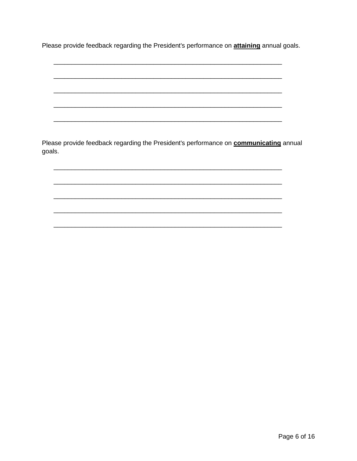Please provide feedback regarding the President's performance on **attaining** annual goals.

Please provide feedback regarding the President's performance on **communicating** annual goals.

Page 6 of 16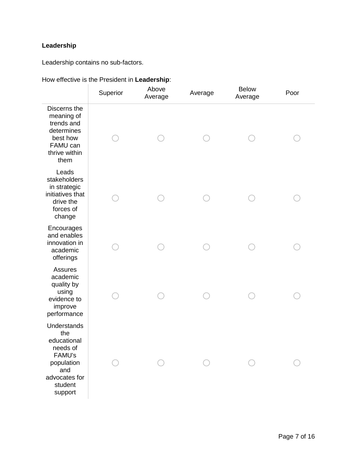# **Leadership**

Leadership contains no sub-factors.

|                                                                                                                            | Superior | Above<br>Average | Average | <b>Below</b><br>Average | Poor |
|----------------------------------------------------------------------------------------------------------------------------|----------|------------------|---------|-------------------------|------|
| Discerns the<br>meaning of<br>trends and<br>determines<br>best how<br>FAMU can<br>thrive within<br>them                    |          |                  |         |                         |      |
| Leads<br>stakeholders<br>in strategic<br>initiatives that<br>drive the<br>forces of<br>change                              |          |                  |         |                         |      |
| Encourages<br>and enables<br>innovation in<br>academic<br>offerings                                                        |          |                  |         |                         |      |
| <b>Assures</b><br>academic<br>quality by<br>using<br>evidence to<br>improve<br>performance                                 |          |                  |         |                         |      |
| <b>Understands</b><br>the<br>educational<br>needs of<br>FAMU's<br>population<br>and<br>advocates for<br>student<br>support |          |                  |         |                         |      |

#### How effective is the President in **Leadership**: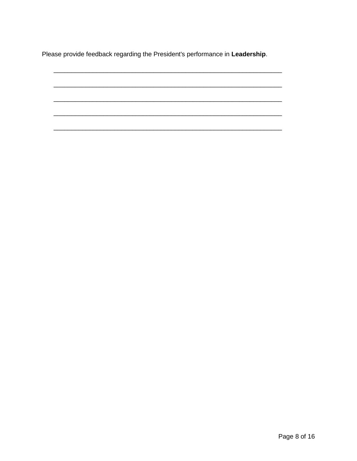Please provide feedback regarding the President's performance in Leadership.

Page 8 of 16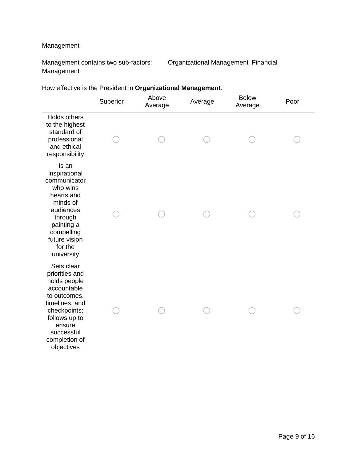## Management

Management contains two sub-factors: Organizational Management Financial Management

How effective is the President in **Organizational Management**:

|                                                                                                                                                                                       | Superior | Above<br>Average | Average | <b>Below</b><br>Average | Poor |
|---------------------------------------------------------------------------------------------------------------------------------------------------------------------------------------|----------|------------------|---------|-------------------------|------|
| Holds others<br>to the highest<br>standard of<br>professional<br>and ethical<br>responsibility                                                                                        |          |                  |         |                         |      |
| Is an<br>inspirational<br>communicator<br>who wins<br>hearts and<br>minds of<br>audiences<br>through<br>painting a<br>compelling<br>future vision<br>for the<br>university            |          |                  |         |                         |      |
| Sets clear<br>priorities and<br>holds people<br>accountable<br>to outcomes,<br>timelines, and<br>checkpoints;<br>follows up to<br>ensure<br>successful<br>completion of<br>objectives |          |                  |         |                         |      |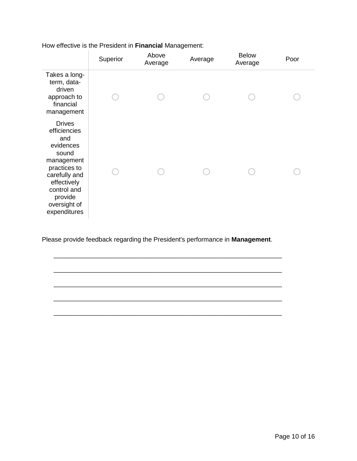|                                                                                                                                                                                    | Superior | Above<br>Average | Average | <b>Below</b><br>Average | Poor |
|------------------------------------------------------------------------------------------------------------------------------------------------------------------------------------|----------|------------------|---------|-------------------------|------|
| Takes a long-<br>term, data-<br>driven<br>approach to<br>financial<br>management                                                                                                   |          |                  |         |                         |      |
| <b>Drives</b><br>efficiencies<br>and<br>evidences<br>sound<br>management<br>practices to<br>carefully and<br>effectively<br>control and<br>provide<br>oversight of<br>expenditures |          |                  |         |                         |      |

How effective is the President in **Financial** Management:

Please provide feedback regarding the President's performance in **Management**.

\_\_\_\_\_\_\_\_\_\_\_\_\_\_\_\_\_\_\_\_\_\_\_\_\_\_\_\_\_\_\_\_\_\_\_\_\_\_\_\_\_\_\_\_\_\_\_\_\_\_\_\_\_\_\_\_\_\_\_\_\_\_\_\_

\_\_\_\_\_\_\_\_\_\_\_\_\_\_\_\_\_\_\_\_\_\_\_\_\_\_\_\_\_\_\_\_\_\_\_\_\_\_\_\_\_\_\_\_\_\_\_\_\_\_\_\_\_\_\_\_\_\_\_\_\_\_\_\_

\_\_\_\_\_\_\_\_\_\_\_\_\_\_\_\_\_\_\_\_\_\_\_\_\_\_\_\_\_\_\_\_\_\_\_\_\_\_\_\_\_\_\_\_\_\_\_\_\_\_\_\_\_\_\_\_\_\_\_\_\_\_\_\_

\_\_\_\_\_\_\_\_\_\_\_\_\_\_\_\_\_\_\_\_\_\_\_\_\_\_\_\_\_\_\_\_\_\_\_\_\_\_\_\_\_\_\_\_\_\_\_\_\_\_\_\_\_\_\_\_\_\_\_\_\_\_\_\_

\_\_\_\_\_\_\_\_\_\_\_\_\_\_\_\_\_\_\_\_\_\_\_\_\_\_\_\_\_\_\_\_\_\_\_\_\_\_\_\_\_\_\_\_\_\_\_\_\_\_\_\_\_\_\_\_\_\_\_\_\_\_\_\_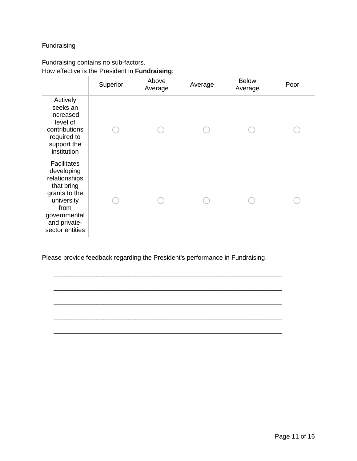### Fundraising

## Fundraising contains no sub-factors. How effective is the President in **Fundraising**:

|                                                                                                                                                           | Superior | Above<br>Average | Average | <b>Below</b><br>Average | Poor |
|-----------------------------------------------------------------------------------------------------------------------------------------------------------|----------|------------------|---------|-------------------------|------|
| Actively<br>seeks an<br>increased<br>level of<br>contributions<br>required to<br>support the<br>institution                                               |          |                  |         |                         |      |
| <b>Facilitates</b><br>developing<br>relationships<br>that bring<br>grants to the<br>university<br>from<br>governmental<br>and private-<br>sector entities |          |                  |         |                         |      |

Please provide feedback regarding the President's performance in Fundraising.

\_\_\_\_\_\_\_\_\_\_\_\_\_\_\_\_\_\_\_\_\_\_\_\_\_\_\_\_\_\_\_\_\_\_\_\_\_\_\_\_\_\_\_\_\_\_\_\_\_\_\_\_\_\_\_\_\_\_\_\_\_\_\_\_

\_\_\_\_\_\_\_\_\_\_\_\_\_\_\_\_\_\_\_\_\_\_\_\_\_\_\_\_\_\_\_\_\_\_\_\_\_\_\_\_\_\_\_\_\_\_\_\_\_\_\_\_\_\_\_\_\_\_\_\_\_\_\_\_

\_\_\_\_\_\_\_\_\_\_\_\_\_\_\_\_\_\_\_\_\_\_\_\_\_\_\_\_\_\_\_\_\_\_\_\_\_\_\_\_\_\_\_\_\_\_\_\_\_\_\_\_\_\_\_\_\_\_\_\_\_\_\_\_

\_\_\_\_\_\_\_\_\_\_\_\_\_\_\_\_\_\_\_\_\_\_\_\_\_\_\_\_\_\_\_\_\_\_\_\_\_\_\_\_\_\_\_\_\_\_\_\_\_\_\_\_\_\_\_\_\_\_\_\_\_\_\_\_

\_\_\_\_\_\_\_\_\_\_\_\_\_\_\_\_\_\_\_\_\_\_\_\_\_\_\_\_\_\_\_\_\_\_\_\_\_\_\_\_\_\_\_\_\_\_\_\_\_\_\_\_\_\_\_\_\_\_\_\_\_\_\_\_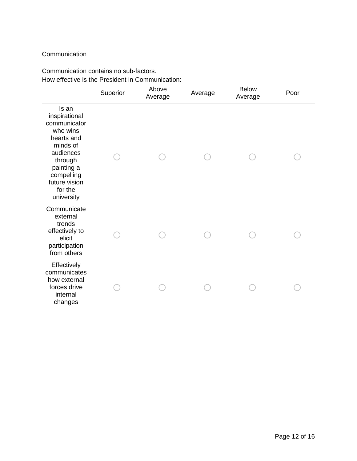### **Communication**

### Communication contains no sub-factors. How effective is the President in Communication:

|                                                                                                                                                                            | Superior | Above<br>Average | Average | <b>Below</b><br>Average | Poor |
|----------------------------------------------------------------------------------------------------------------------------------------------------------------------------|----------|------------------|---------|-------------------------|------|
| Is an<br>inspirational<br>communicator<br>who wins<br>hearts and<br>minds of<br>audiences<br>through<br>painting a<br>compelling<br>future vision<br>for the<br>university |          |                  |         |                         |      |
| Communicate<br>external<br>trends<br>effectively to<br>elicit<br>participation<br>from others                                                                              |          |                  |         |                         |      |
| Effectively<br>communicates<br>how external<br>forces drive<br>internal<br>changes                                                                                         |          |                  |         |                         |      |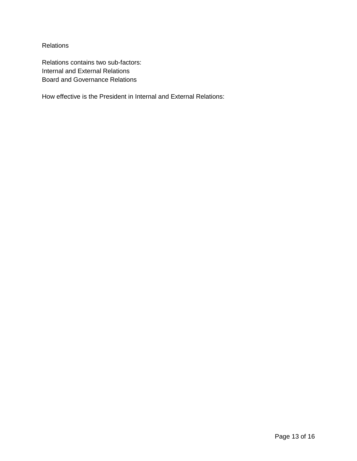**Relations** 

Relations contains two sub-factors: Internal and External Relations Board and Governance Relations

How effective is the President in Internal and External Relations: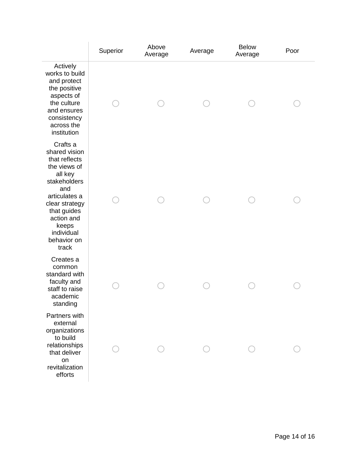|                                                                                                                                                                                                             | Superior | Above<br>Average | Average | <b>Below</b><br>Average | Poor |
|-------------------------------------------------------------------------------------------------------------------------------------------------------------------------------------------------------------|----------|------------------|---------|-------------------------|------|
| Actively<br>works to build<br>and protect<br>the positive<br>aspects of<br>the culture<br>and ensures<br>consistency<br>across the<br>institution                                                           |          |                  |         |                         |      |
| Crafts a<br>shared vision<br>that reflects<br>the views of<br>all key<br>stakeholders<br>and<br>articulates a<br>clear strategy<br>that guides<br>action and<br>keeps<br>individual<br>behavior on<br>track |          |                  |         |                         |      |
| Creates a<br>common<br>standard with<br>faculty and<br>staff to raise<br>academic<br>standing                                                                                                               |          |                  |         |                         |      |
| Partners with<br>external<br>organizations<br>to build<br>relationships<br>that deliver<br>on<br>revitalization<br>efforts                                                                                  |          |                  |         |                         |      |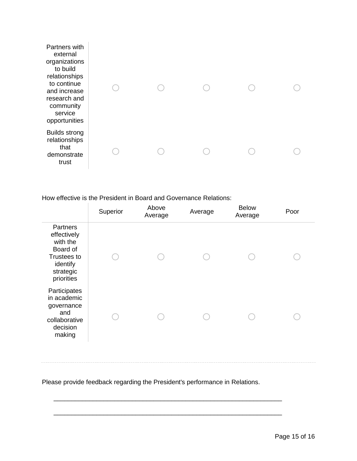| Partners with<br>external<br>organizations<br>to build<br>relationships<br>to continue<br>and increase<br>research and<br>community<br>service<br>opportunities |  |  |  |
|-----------------------------------------------------------------------------------------------------------------------------------------------------------------|--|--|--|
| <b>Builds strong</b><br>relationships<br>that<br>demonstrate<br>trust                                                                                           |  |  |  |

How effective is the President in Board and Governance Relations:

|                                                                                                       | Superior | Above<br>Average | Average | <b>Below</b><br>Average | Poor |  |
|-------------------------------------------------------------------------------------------------------|----------|------------------|---------|-------------------------|------|--|
| Partners<br>effectively<br>with the<br>Board of<br>Trustees to<br>identify<br>strategic<br>priorities |          |                  |         |                         |      |  |
| Participates<br>in academic<br>governance<br>and<br>collaborative<br>decision<br>making               |          |                  |         |                         |      |  |

Please provide feedback regarding the President's performance in Relations.

\_\_\_\_\_\_\_\_\_\_\_\_\_\_\_\_\_\_\_\_\_\_\_\_\_\_\_\_\_\_\_\_\_\_\_\_\_\_\_\_\_\_\_\_\_\_\_\_\_\_\_\_\_\_\_\_\_\_\_\_\_\_\_\_

\_\_\_\_\_\_\_\_\_\_\_\_\_\_\_\_\_\_\_\_\_\_\_\_\_\_\_\_\_\_\_\_\_\_\_\_\_\_\_\_\_\_\_\_\_\_\_\_\_\_\_\_\_\_\_\_\_\_\_\_\_\_\_\_